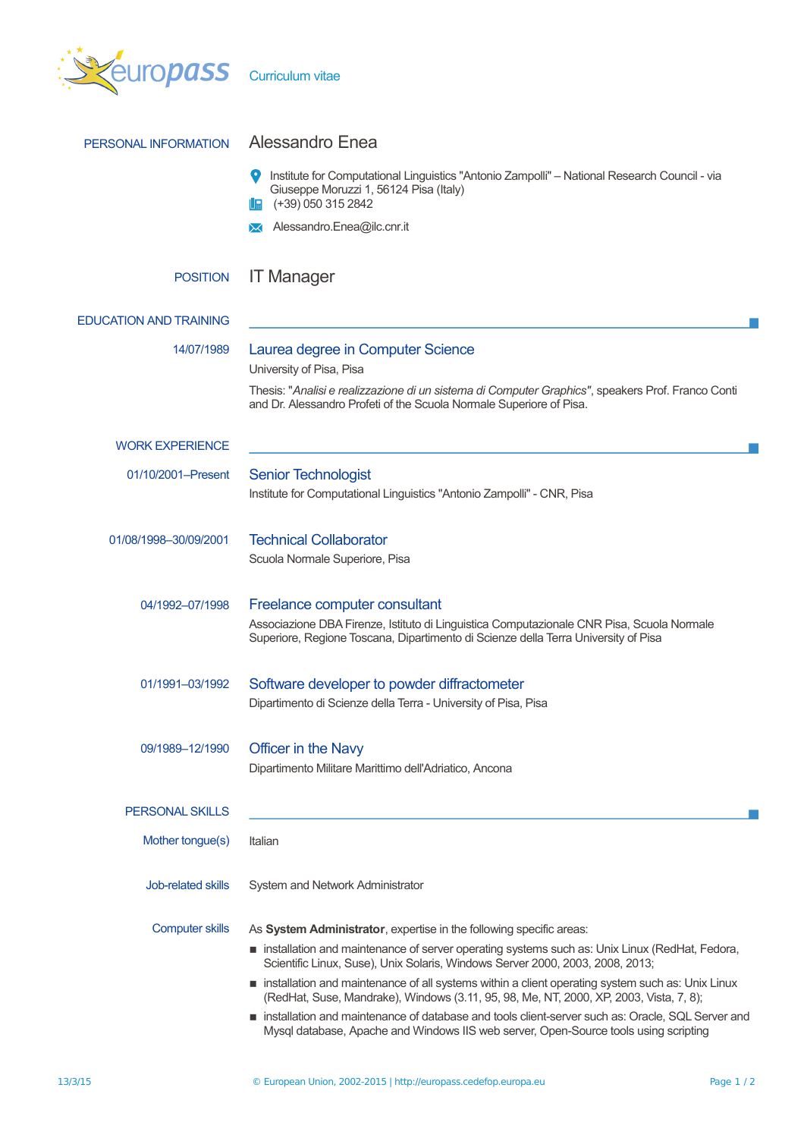

| PERSONAL INFORMATION          | Alessandro Enea                                                                                                                                                                                                  |
|-------------------------------|------------------------------------------------------------------------------------------------------------------------------------------------------------------------------------------------------------------|
|                               | Institute for Computational Linguistics "Antonio Zampolli" - National Research Council - via<br>Giuseppe Moruzzi 1, 56124 Pisa (Italy)<br>(+39) 050 315 2842<br>Шa                                               |
|                               | Alessandro.Enea@ilc.cnr.it<br>ᢂ                                                                                                                                                                                  |
| <b>POSITION</b>               | <b>IT Manager</b>                                                                                                                                                                                                |
| <b>EDUCATION AND TRAINING</b> |                                                                                                                                                                                                                  |
| 14/07/1989                    | Laurea degree in Computer Science<br>University of Pisa, Pisa                                                                                                                                                    |
|                               | Thesis: "Analisi e realizzazione di un sistema di Computer Graphics", speakers Prof. Franco Conti<br>and Dr. Alessandro Profeti of the Scuola Normale Superiore of Pisa.                                         |
| <b>WORK EXPERIENCE</b>        |                                                                                                                                                                                                                  |
| 01/10/2001-Present            | <b>Senior Technologist</b><br>Institute for Computational Linguistics "Antonio Zampolli" - CNR, Pisa                                                                                                             |
| 01/08/1998-30/09/2001         | <b>Technical Collaborator</b><br>Scuola Normale Superiore, Pisa                                                                                                                                                  |
| 04/1992-07/1998               | Freelance computer consultant<br>Associazione DBA Firenze, Istituto di Linguistica Computazionale CNR Pisa, Scuola Normale<br>Superiore, Regione Toscana, Dipartimento di Scienze della Terra University of Pisa |
| 01/1991-03/1992               | Software developer to powder diffractometer<br>Dipartimento di Scienze della Terra - University of Pisa, Pisa                                                                                                    |
| 09/1989-12/1990               | Officer in the Navy<br>Dipartimento Militare Marittimo dell'Adriatico, Ancona                                                                                                                                    |
| <b>PERSONAL SKILLS</b>        |                                                                                                                                                                                                                  |
| Mother tongue(s)              | Italian                                                                                                                                                                                                          |
| Job-related skills            | System and Network Administrator                                                                                                                                                                                 |
| <b>Computer skills</b>        | As System Administrator, expertise in the following specific areas:                                                                                                                                              |
|                               | ■ installation and maintenance of server operating systems such as: Unix Linux (RedHat, Fedora,<br>Scientific Linux, Suse), Unix Solaris, Windows Server 2000, 2003, 2008, 2013;                                 |
|                               | installation and maintenance of all systems within a client operating system such as: Unix Linux<br>(RedHat, Suse, Mandrake), Windows (3.11, 95, 98, Me, NT, 2000, XP, 2003, Vista, 7, 8);                       |
|                               | installation and maintenance of database and tools client-server such as: Oracle, SQL Server and<br>Mysql database, Apache and Windows IIS web server, Open-Source tools using scripting                         |